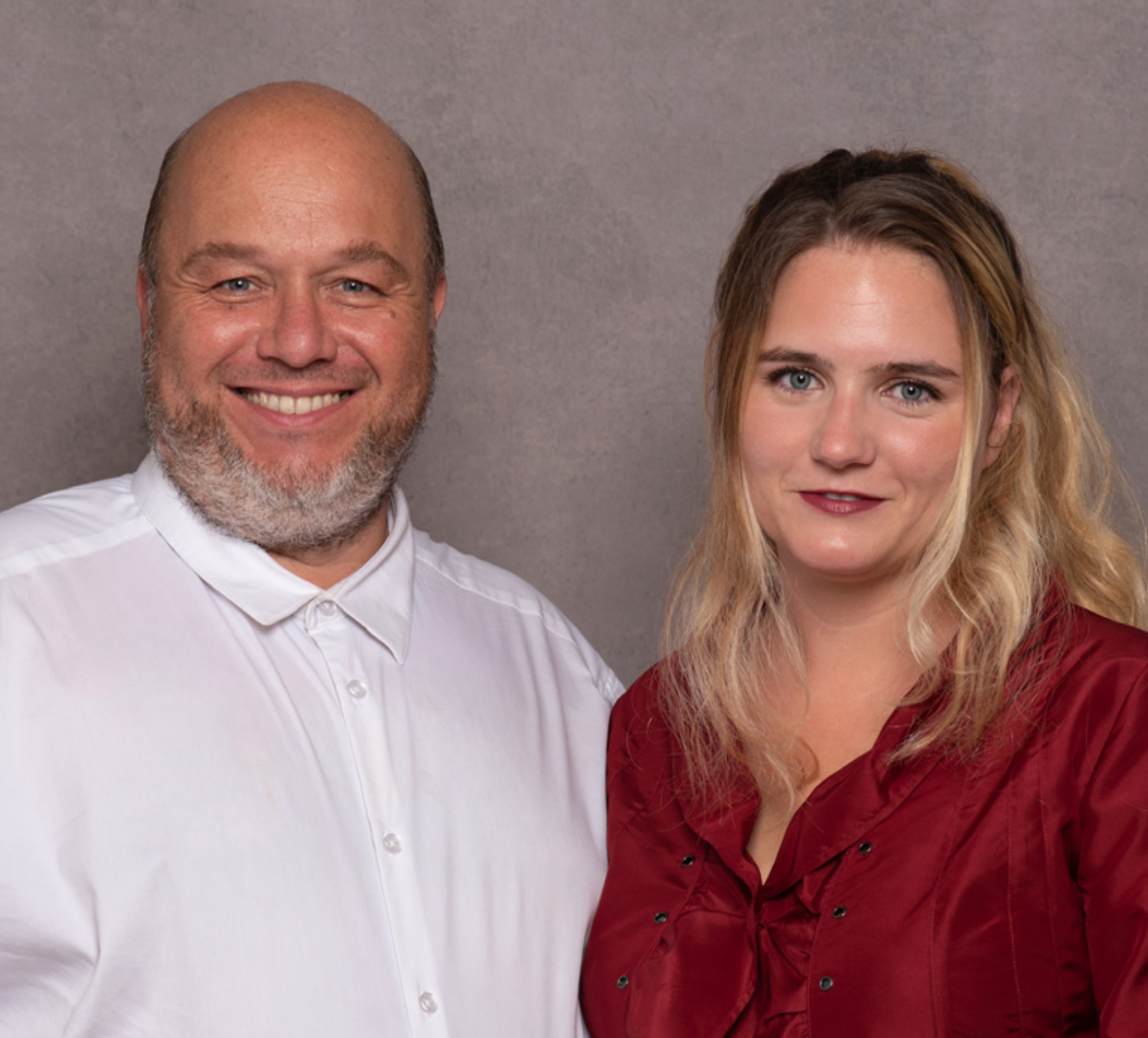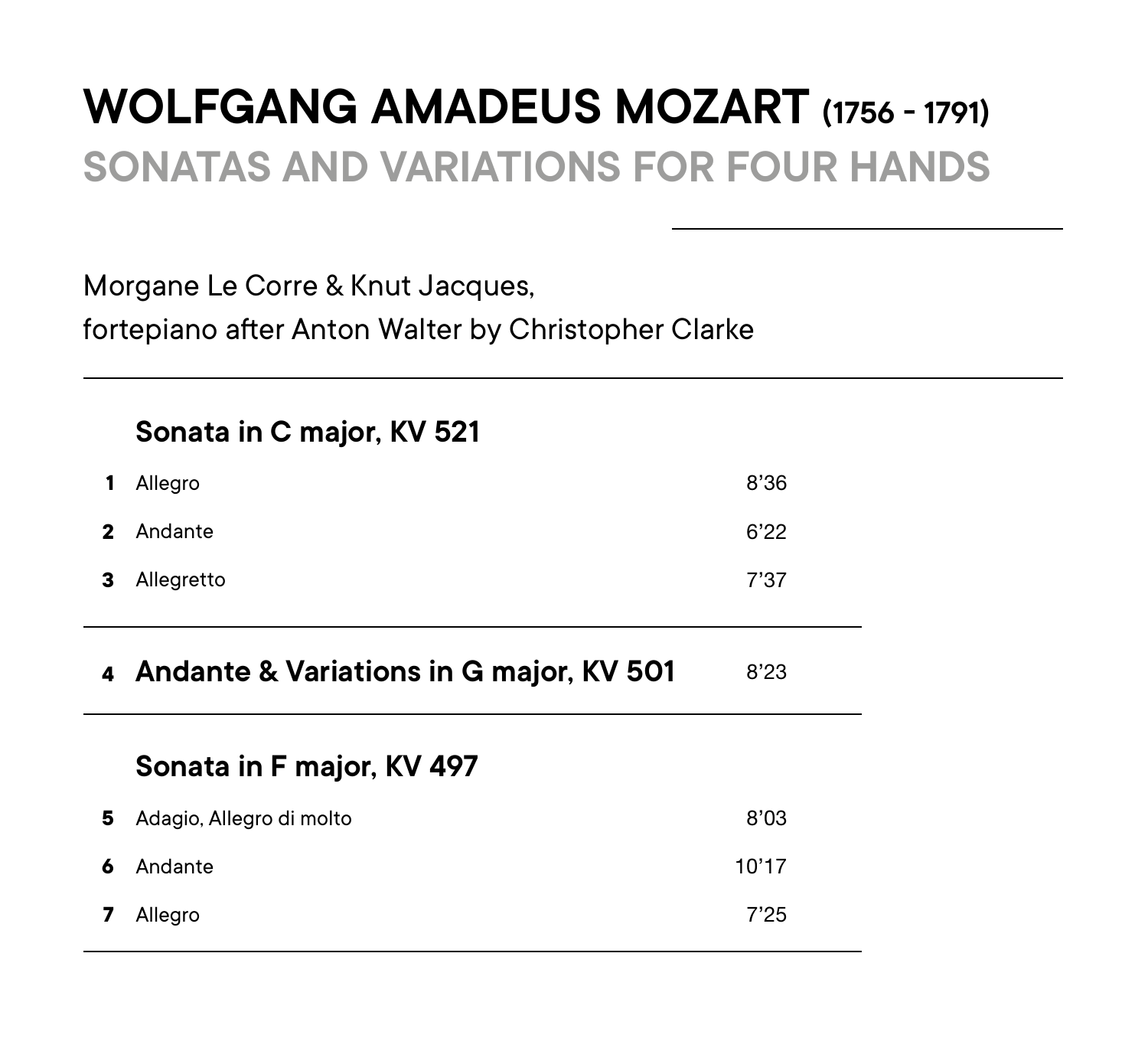# **WOLFGANG AMADEUS MOZART (1756 - 1791) SONATAS AND VARIATIONS FOR FOUR HANDS**

Morgane Le Corre & Knut Jacques,

fortepiano after Anton Walter by Christopher Clarke

## **Sonata in C major, KV 521**

|                | 4 Andante & Variations in G major, KV 501 | 8'23 |  |
|----------------|-------------------------------------------|------|--|
| 3              | Allegretto                                | 7'37 |  |
| $\overline{2}$ | Andante                                   | 6'22 |  |
| $\mathbf{1}$   | Allegro                                   | 8'36 |  |

## **Sonata in F major, KV 497**

| 5 Adagio, Allegro di molto | 8'03  |
|----------------------------|-------|
| <b>6</b> Andante           | 10'17 |
| 7 Allegro                  | 7'25  |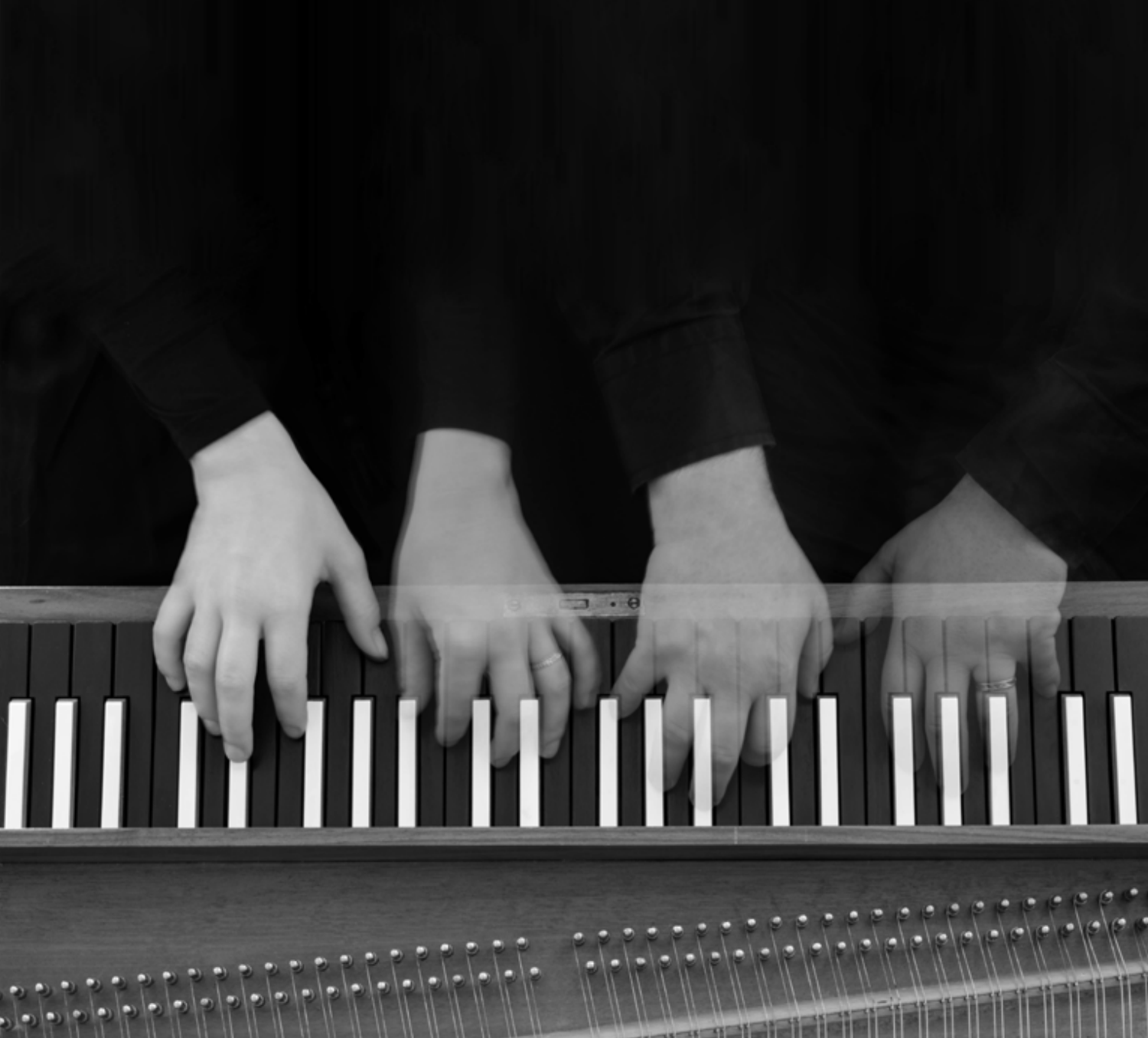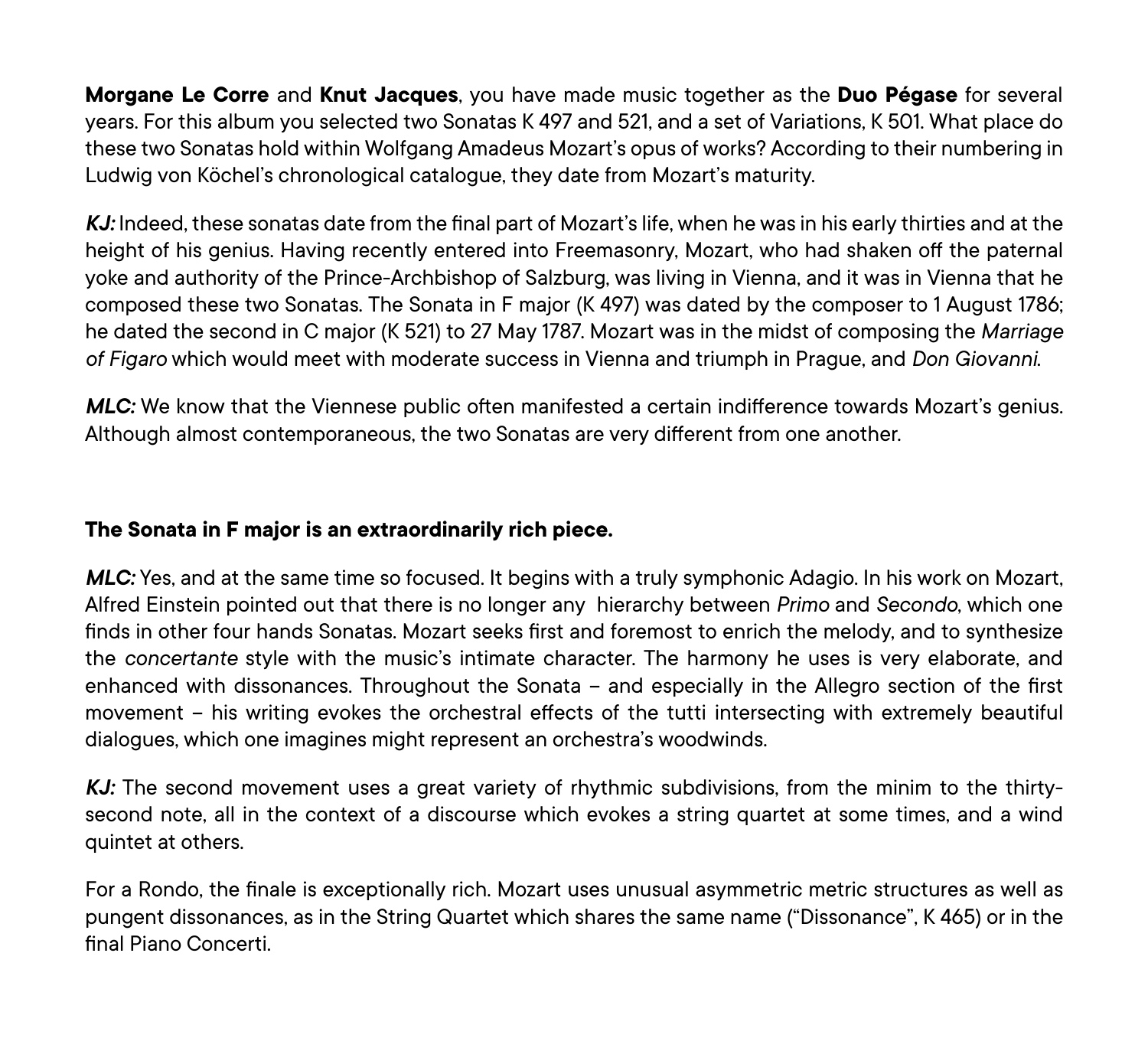**Morgane Le Corre** and **Knut Jacques**, you have made music together as the **Duo Pégase** for several years. For this album you selected two Sonatas K 497 and 521, and a set of Variations, K 501. What place do these two Sonatas hold within Wolfgang Amadeus Mozart's opus of works? According to their numbering in Ludwig von Köchel's chronological catalogue, they date from Mozart's maturity.

*KJ:* Indeed, these sonatas date from the final part of Mozart's life, when he was in his early thirties and at the height of his genius. Having recently entered into Freemasonry, Mozart, who had shaken off the paternal yoke and authority of the Prince-Archbishop of Salzburg, was living in Vienna, and it was in Vienna that he composed these two Sonatas. The Sonata in F major (K 497) was dated by the composer to 1 August 1786; he dated the second in C major (K 521) to 27 May 1787. Mozart was in the midst of composing the *Marriage of Figaro* which would meet with moderate success in Vienna and triumph in Prague, and *Don Giovanni*.

*MLC:* We know that the Viennese public often manifested a certain indifference towards Mozart's genius. Although almost contemporaneous, the two Sonatas are very different from one another.

#### **The Sonata in F major is an extraordinarily rich piece.**

*MLC:* Yes, and at the same time so focused. It begins with a truly symphonic Adagio. In his work on Mozart, Alfred Einstein pointed out that there is no longer any hierarchy between *Primo* and *Secondo*, which one finds in other four hands Sonatas. Mozart seeks first and foremost to enrich the melody, and to synthesize the *concertante* style with the music's intimate character. The harmony he uses is very elaborate, and enhanced with dissonances. Throughout the Sonata – and especially in the Allegro section of the first movement – his writing evokes the orchestral effects of the tutti intersecting with extremely beautiful dialogues, which one imagines might represent an orchestra's woodwinds.

*KJ:* The second movement uses a great variety of rhythmic subdivisions, from the minim to the thirtysecond note, all in the context of a discourse which evokes a string quartet at some times, and a wind quintet at others.

For a Rondo, the finale is exceptionally rich. Mozart uses unusual asymmetric metric structures as well as pungent dissonances, as in the String Quartet which shares the same name ("Dissonance", K 465) or in the final Piano Concerti.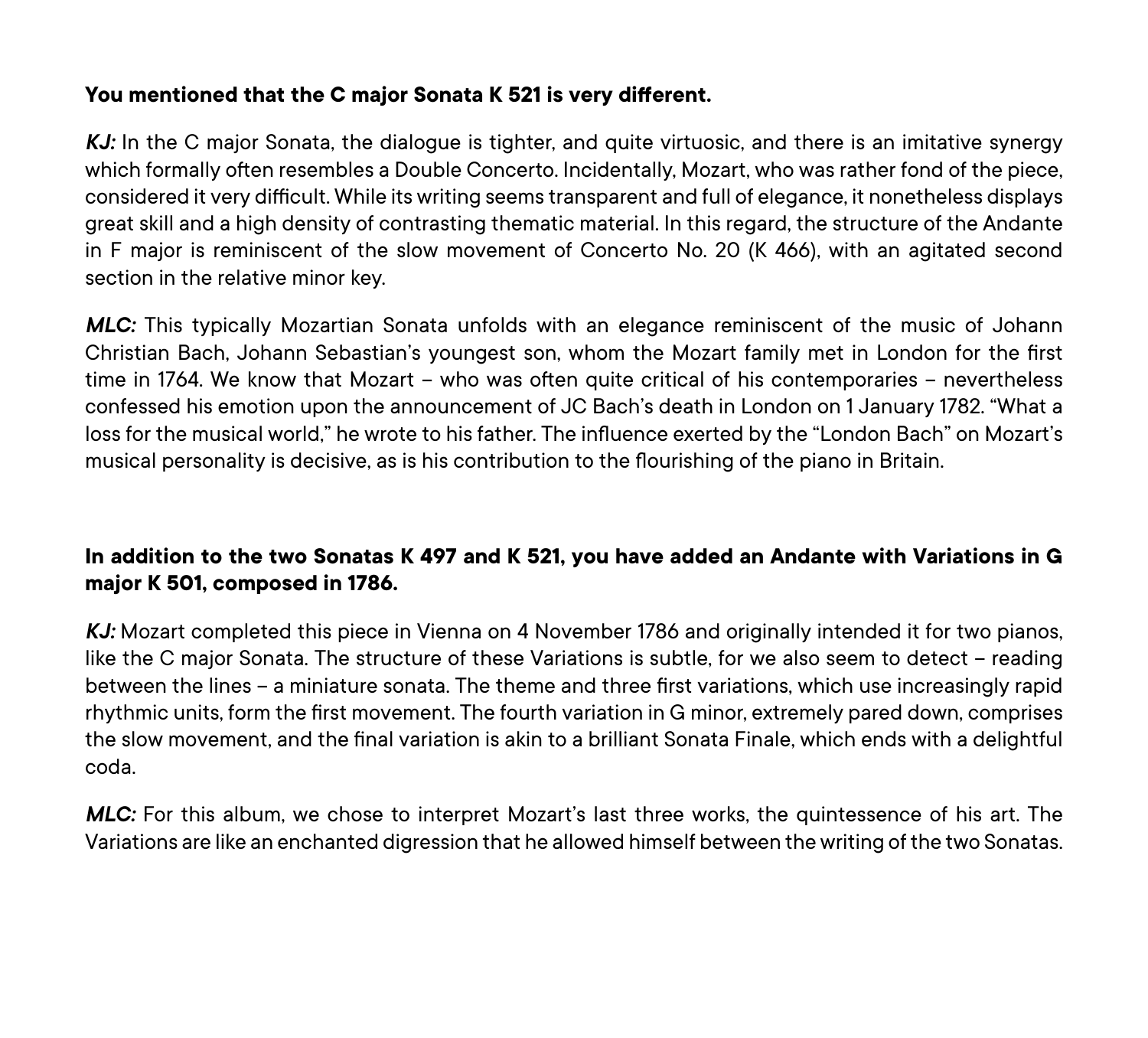#### **You mentioned that the C major Sonata K 521 is very different.**

KJ: In the C major Sonata, the dialogue is tighter, and quite virtuosic, and there is an imitative synergy which formally often resembles a Double Concerto. Incidentally, Mozart, who was rather fond of the piece, considered it very difficult. While its writing seems transparent and full of elegance, it nonetheless displays great skill and a high density of contrasting thematic material. In this regard, the structure of the Andante in F major is reminiscent of the slow movement of Concerto No. 20 (K 466), with an agitated second section in the relative minor key.

*MLC:* This typically Mozartian Sonata unfolds with an elegance reminiscent of the music of Johann Christian Bach, Johann Sebastian's youngest son, whom the Mozart family met in London for the first time in 1764. We know that Mozart – who was often quite critical of his contemporaries – nevertheless confessed his emotion upon the announcement of JC Bach's death in London on 1 January 1782. "What a loss for the musical world," he wrote to his father. The influence exerted by the "London Bach" on Mozart's musical personality is decisive, as is his contribution to the flourishing of the piano in Britain.

### **In addition to the two Sonatas K 497 and K 521, you have added an Andante with Variations in G major K 501, composed in 1786.**

*KJ:* Mozart completed this piece in Vienna on 4 November 1786 and originally intended it for two pianos, like the C major Sonata. The structure of these Variations is subtle, for we also seem to detect – reading between the lines – a miniature sonata. The theme and three first variations, which use increasingly rapid rhythmic units, form the first movement. The fourth variation in G minor, extremely pared down, comprises the slow movement, and the final variation is akin to a brilliant Sonata Finale, which ends with a delightful coda.

*MLC:* For this album, we chose to interpret Mozart's last three works, the quintessence of his art. The Variations are like an enchanted digression that he allowed himself between the writing of the two Sonatas.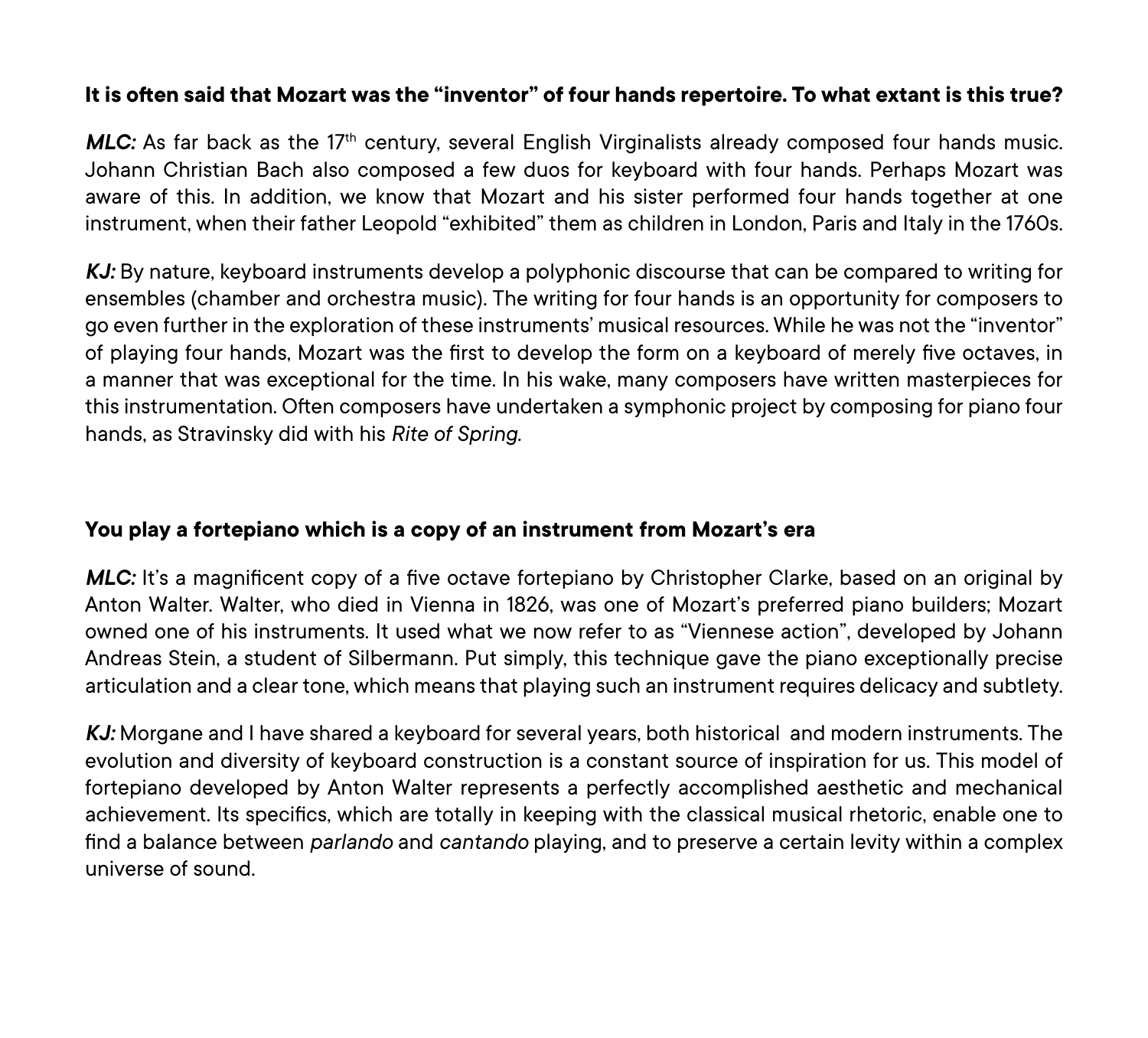#### **It is often said that Mozart was the "inventor" of four hands repertoire. To what extant is this true?**

*MLC:* As far back as the 17<sup>th</sup> century, several English Virginalists already composed four hands music. Johann Christian Bach also composed a few duos for keyboard with four hands. Perhaps Mozart was aware of this. In addition, we know that Mozart and his sister performed four hands together at one instrument, when their father Leopold "exhibited" them as children in London, Paris and Italy in the 1760s.

*KJ:* By nature, keyboard instruments develop a polyphonic discourse that can be compared to writing for ensembles (chamber and orchestra music). The writing for four hands is an opportunity for composers to go even further in the exploration of these instruments' musical resources. While he was not the "inventor" of playing four hands, Mozart was the first to develop the form on a keyboard of merely five octaves, in a manner that was exceptional for the time. In his wake, many composers have written masterpieces for this instrumentation. Often composers have undertaken a symphonic project by composing for piano four hands, as Stravinsky did with his *Rite of Spring.*

#### **You play a fortepiano which is a copy of an instrument from Mozart's era**

*MLC:* It's a magnificent copy of a five octave fortepiano by Christopher Clarke, based on an original by Anton Walter. Walter, who died in Vienna in 1826, was one of Mozart's preferred piano builders; Mozart owned one of his instruments. It used what we now refer to as "Viennese action", developed by Johann Andreas Stein, a student of Silbermann. Put simply, this technique gave the piano exceptionally precise articulation and a clear tone, which means that playing such an instrument requires delicacy and subtlety.

*KJ:* Morgane and I have shared a keyboard for several years, both historical and modern instruments. The evolution and diversity of keyboard construction is a constant source of inspiration for us. This model of fortepiano developed by Anton Walter represents a perfectly accomplished aesthetic and mechanical achievement. Its specifics, which are totally in keeping with the classical musical rhetoric, enable one to find a balance between *parlando* and *cantando* playing, and to preserve a certain levity within a complex universe of sound.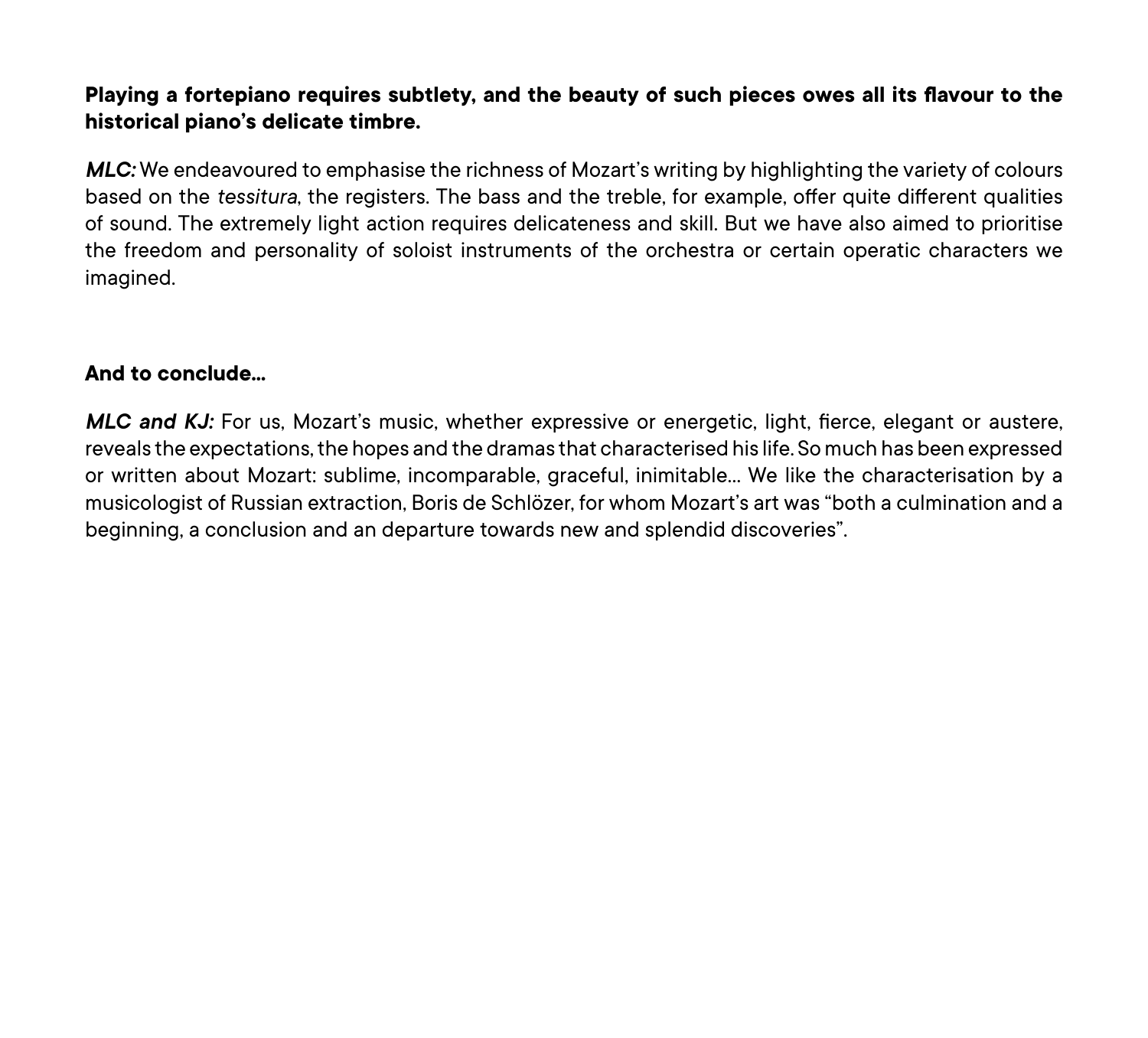#### **Playing a fortepiano requires subtlety, and the beauty of such pieces owes all its flavour to the historical piano's delicate timbre.**

*MLC:* We endeavoured to emphasise the richness of Mozart's writing by highlighting the variety of colours based on the *tessitura*, the registers. The bass and the treble, for example, offer quite different qualities of sound. The extremely light action requires delicateness and skill. But we have also aimed to prioritise the freedom and personality of soloist instruments of the orchestra or certain operatic characters we imagined.

#### **And to conclude…**

*MLC and KJ:* For us, Mozart's music, whether expressive or energetic, light, fierce, elegant or austere, reveals the expectations, the hopes and the dramas that characterised his life. So much has been expressed or written about Mozart: sublime, incomparable, graceful, inimitable… We like the characterisation by a musicologist of Russian extraction, Boris de Schlözer, for whom Mozart's art was "both a culmination and a beginning, a conclusion and an departure towards new and splendid discoveries".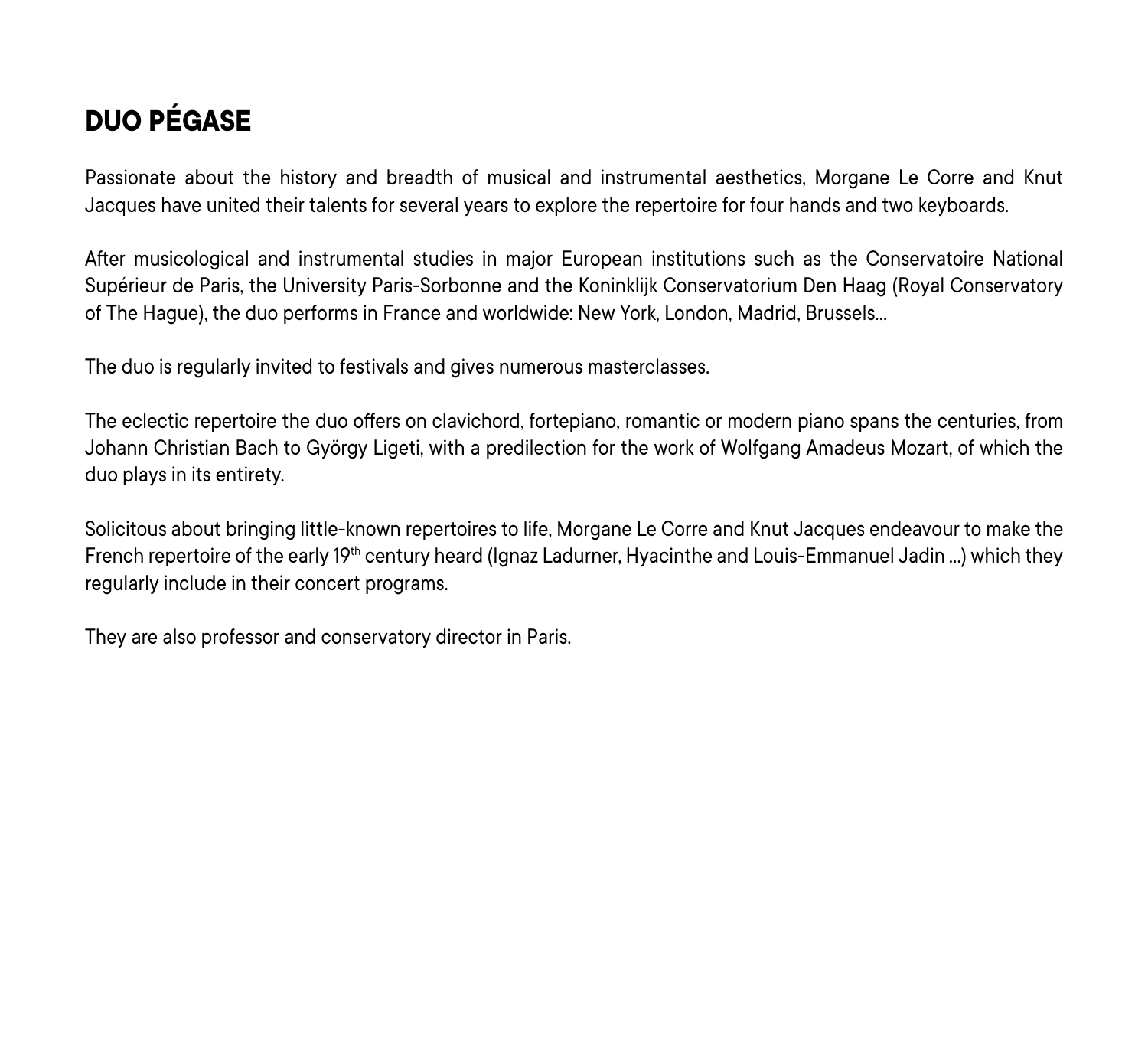## **DUO PÉGASE**

Passionate about the history and breadth of musical and instrumental aesthetics, Morgane Le Corre and Knut Jacques have united their talents for several years to explore the repertoire for four hands and two keyboards.

After musicological and instrumental studies in major European institutions such as the Conservatoire National Supérieur de Paris, the University Paris-Sorbonne and the Koninklijk Conservatorium Den Haag (Royal Conservatory of The Hague), the duo performs in France and worldwide: New York, London, Madrid, Brussels…

The duo is regularly invited to festivals and gives numerous masterclasses.

The eclectic repertoire the duo offers on clavichord, fortepiano, romantic or modern piano spans the centuries, from Johann Christian Bach to György Ligeti, with a predilection for the work of Wolfgang Amadeus Mozart, of which the duo plays in its entirety.

Solicitous about bringing little-known repertoires to life, Morgane Le Corre and Knut Jacques endeavour to make the French repertoire of the early 19<sup>th</sup> century heard (Ignaz Ladurner, Hyacinthe and Louis-Emmanuel Jadin ...) which they regularly include in their concert programs.

They are also professor and conservatory director in Paris.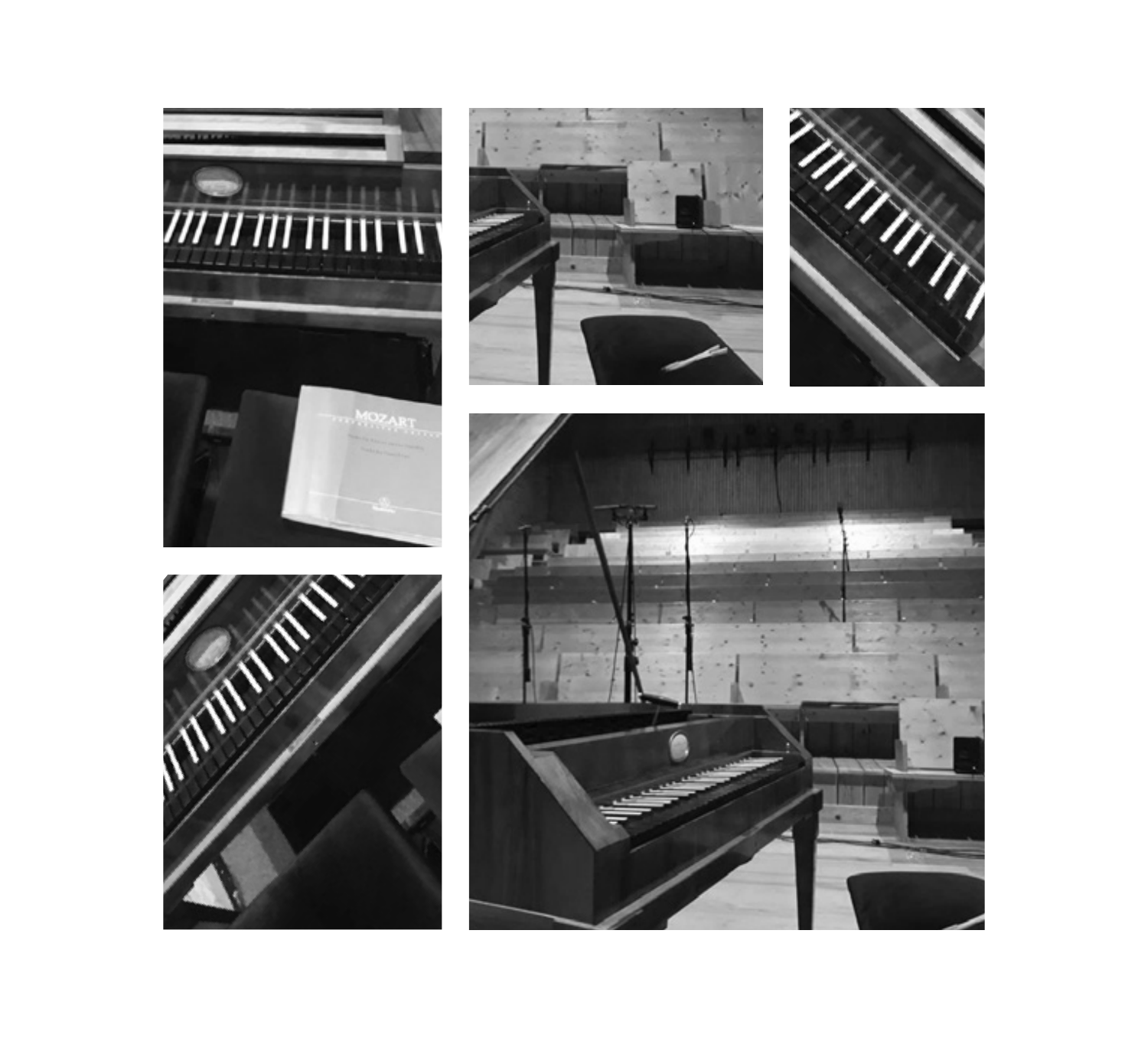







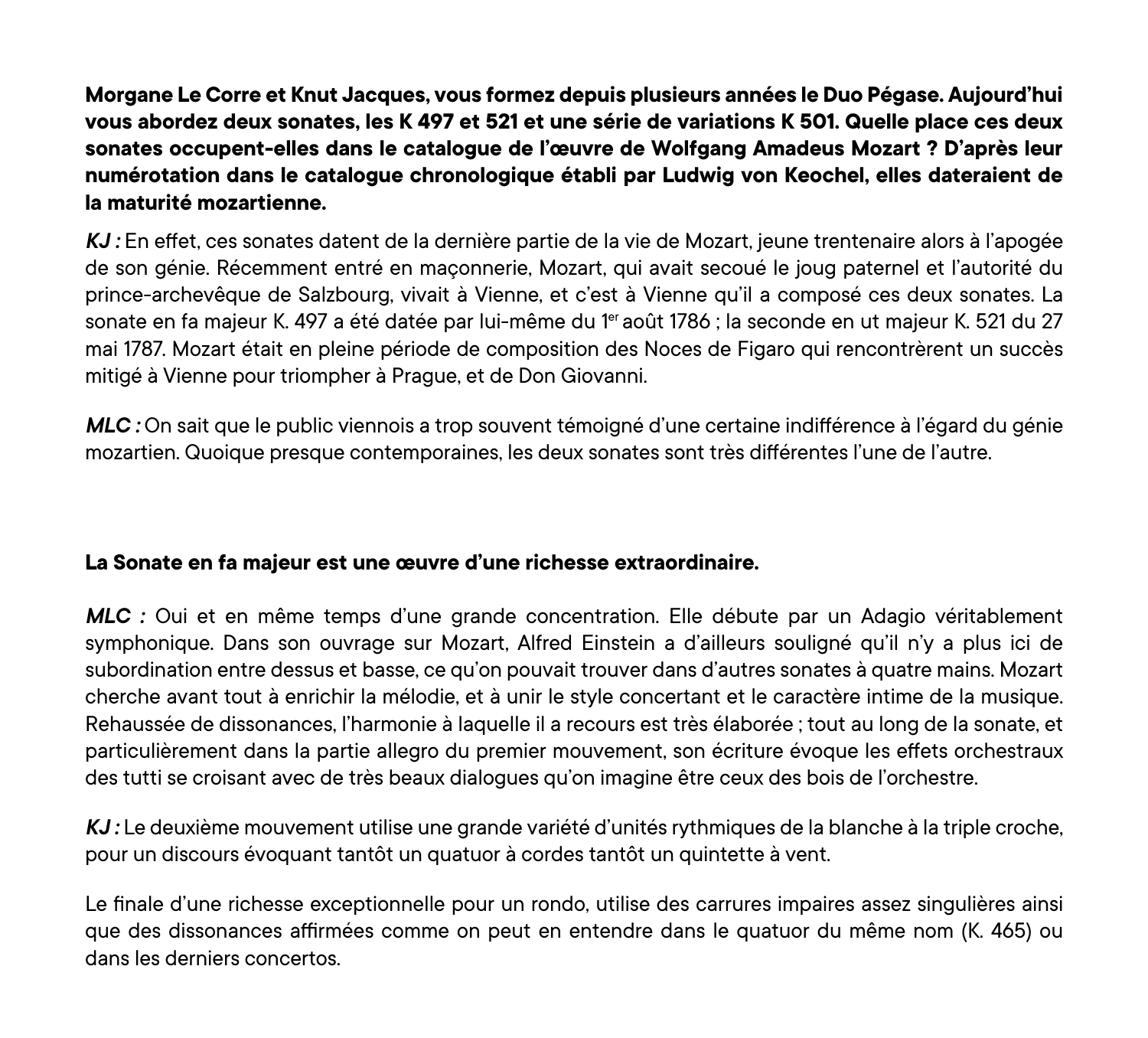**Morgane Le Corre et Knut Jacques, vous formez depuis plusieurs années le Duo Pégase. Aujourd'hui vous abordez deux sonates, les K 497 et 521 et une série de variations K 501. Quelle place ces deux sonates occupent-elles dans le catalogue de l'œuvre de Wolfgang Amadeus Mozart ? D'après leur numérotation dans le catalogue chronologique établi par Ludwig von Keochel, elles dateraient de la maturité mozartienne.**

*KJ :* En effet, ces sonates datent de la dernière partie de la vie de Mozart, jeune trentenaire alors à l'apogée de son génie. Récemment entré en maçonnerie, Mozart, qui avait secoué le joug paternel et l'autorité du prince-archevêque de Salzbourg, vivait à Vienne, et c'est à Vienne qu'il a composé ces deux sonates. La sonate en fa majeur K. 497 a été datée par lui-même du 1<sup>er</sup> août 1786 ; la seconde en ut majeur K. 521 du 27 mai 1787. Mozart était en pleine période de composition des Noces de Figaro qui rencontrèrent un succès mitigé à Vienne pour triompher à Prague, et de Don Giovanni.

*MLC :* On sait que le public viennois a trop souvent témoigné d'une certaine indifférence à l'égard du génie mozartien. Quoique presque contemporaines, les deux sonates sont très différentes l'une de l'autre.

#### **La Sonate en fa majeur est une œuvre d'une richesse extraordinaire.**

*MLC :* Oui et en même temps d'une grande concentration. Elle débute par un Adagio véritablement symphonique. Dans son ouvrage sur Mozart, Alfred Einstein a d'ailleurs souligné qu'il n'y a plus ici de subordination entre dessus et basse, ce qu'on pouvait trouver dans d'autres sonates à quatre mains. Mozart cherche avant tout à enrichir la mélodie, et à unir le style concertant et le caractère intime de la musique. Rehaussée de dissonances, l'harmonie à laquelle il a recours est très élaborée ; tout au long de la sonate, et particulièrement dans la partie allegro du premier mouvement, son écriture évoque les effets orchestraux des tutti se croisant avec de très beaux dialogues qu'on imagine être ceux des bois de l'orchestre.

*KJ :* Le deuxième mouvement utilise une grande variété d'unités rythmiques de la blanche à la triple croche, pour un discours évoquant tantôt un quatuor à cordes tantôt un quintette à vent.

Le finale d'une richesse exceptionnelle pour un rondo, utilise des carrures impaires assez singulières ainsi que des dissonances affirmées comme on peut en entendre dans le quatuor du même nom (K. 465) ou dans les derniers concertos.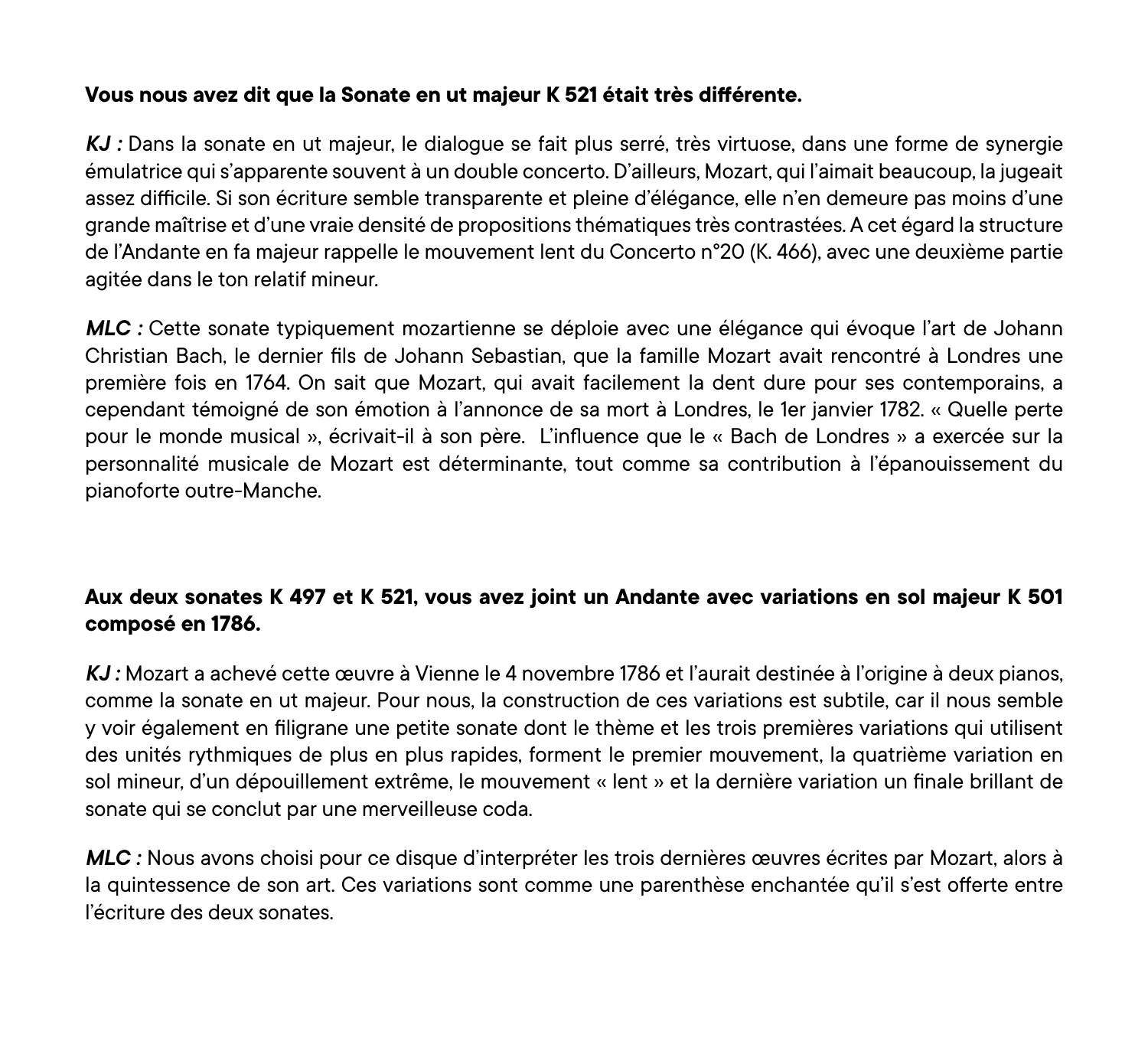#### **Vous nous avez dit que la Sonate en ut majeur K 521 était très différente.**

*KJ :* Dans la sonate en ut majeur, le dialogue se fait plus serré, très virtuose, dans une forme de synergie émulatrice qui s'apparente souvent à un double concerto. D'ailleurs, Mozart, qui l'aimait beaucoup, la jugeait assez difficile. Si son écriture semble transparente et pleine d'élégance, elle n'en demeure pas moins d'une grande maîtrise et d'une vraie densité de propositions thématiques très contrastées. A cet égard la structure de l'Andante en fa majeur rappelle le mouvement lent du Concerto n°20 (K. 466), avec une deuxième partie agitée dans le ton relatif mineur.

*MLC :* Cette sonate typiquement mozartienne se déploie avec une élégance qui évoque l'art de Johann Christian Bach, le dernier fils de Johann Sebastian, que la famille Mozart avait rencontré à Londres une première fois en 1764. On sait que Mozart, qui avait facilement la dent dure pour ses contemporains, a cependant témoigné de son émotion à l'annonce de sa mort à Londres, le 1er janvier 1782. « Quelle perte pour le monde musical », écrivait-il à son père. L'influence que le « Bach de Londres » a exercée sur la personnalité musicale de Mozart est déterminante, tout comme sa contribution à l'épanouissement du pianoforte outre-Manche.

### **Aux deux sonates K 497 et K 521, vous avez joint un Andante avec variations en sol majeur K 501 composé en 1786.**

*KJ :* Mozart a achevé cette œuvre à Vienne le 4 novembre 1786 et l'aurait destinée à l'origine à deux pianos, comme la sonate en ut majeur. Pour nous, la construction de ces variations est subtile, car il nous semble y voir également en filigrane une petite sonate dont le thème et les trois premières variations qui utilisent des unités rythmiques de plus en plus rapides, forment le premier mouvement, la quatrième variation en sol mineur, d'un dépouillement extrême, le mouvement « lent » et la dernière variation un finale brillant de sonate qui se conclut par une merveilleuse coda.

*MLC :* Nous avons choisi pour ce disque d'interpréter les trois dernières œuvres écrites par Mozart, alors à la quintessence de son art. Ces variations sont comme une parenthèse enchantée qu'il s'est offerte entre l'écriture des deux sonates.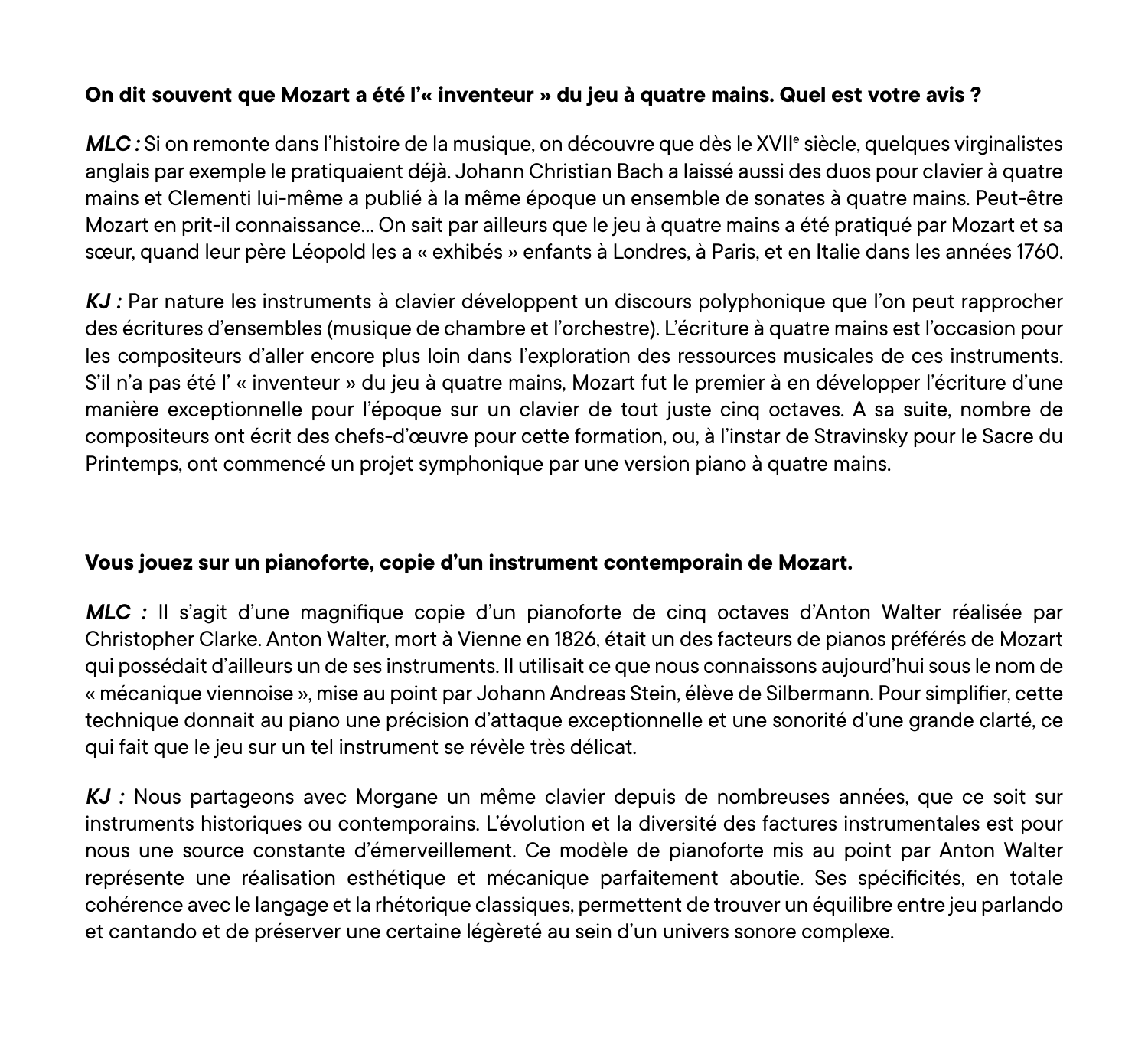### **On dit souvent que Mozart a été l'« inventeur » du jeu à quatre mains. Quel est votre avis ?**

MLC : Si on remonte dans l'histoire de la musique, on découvre que dès le XVII<sup>e</sup> siècle, quelques virginalistes anglais par exemple le pratiquaient déjà. Johann Christian Bach a laissé aussi des duos pour clavier à quatre mains et Clementi lui-même a publié à la même époque un ensemble de sonates à quatre mains. Peut-être Mozart en prit-il connaissance… On sait par ailleurs que le jeu à quatre mains a été pratiqué par Mozart et sa sœur, quand leur père Léopold les a « exhibés » enfants à Londres, à Paris, et en Italie dans les années 1760.

*KJ :* Par nature les instruments à clavier développent un discours polyphonique que l'on peut rapprocher des écritures d'ensembles (musique de chambre et l'orchestre). L'écriture à quatre mains est l'occasion pour les compositeurs d'aller encore plus loin dans l'exploration des ressources musicales de ces instruments. S'il n'a pas été l' « inventeur » du jeu à quatre mains, Mozart fut le premier à en développer l'écriture d'une manière exceptionnelle pour l'époque sur un clavier de tout juste cinq octaves. A sa suite, nombre de compositeurs ont écrit des chefs-d'œuvre pour cette formation, ou, à l'instar de Stravinsky pour le Sacre du Printemps, ont commencé un projet symphonique par une version piano à quatre mains.

#### **Vous jouez sur un pianoforte, copie d'un instrument contemporain de Mozart.**

*MLC :* Il s'agit d'une magnifique copie d'un pianoforte de cinq octaves d'Anton Walter réalisée par Christopher Clarke. Anton Walter, mort à Vienne en 1826, était un des facteurs de pianos préférés de Mozart qui possédait d'ailleurs un de ses instruments. Il utilisait ce que nous connaissons aujourd'hui sous le nom de « mécanique viennoise », mise au point par Johann Andreas Stein, élève de Silbermann. Pour simplifier, cette technique donnait au piano une précision d'attaque exceptionnelle et une sonorité d'une grande clarté, ce qui fait que le jeu sur un tel instrument se révèle très délicat.

*KJ :* Nous partageons avec Morgane un même clavier depuis de nombreuses années, que ce soit sur instruments historiques ou contemporains. L'évolution et la diversité des factures instrumentales est pour nous une source constante d'émerveillement. Ce modèle de pianoforte mis au point par Anton Walter représente une réalisation esthétique et mécanique parfaitement aboutie. Ses spécificités, en totale cohérence avec le langage et la rhétorique classiques, permettent de trouver un équilibre entre jeu parlando et cantando et de préserver une certaine légèreté au sein d'un univers sonore complexe.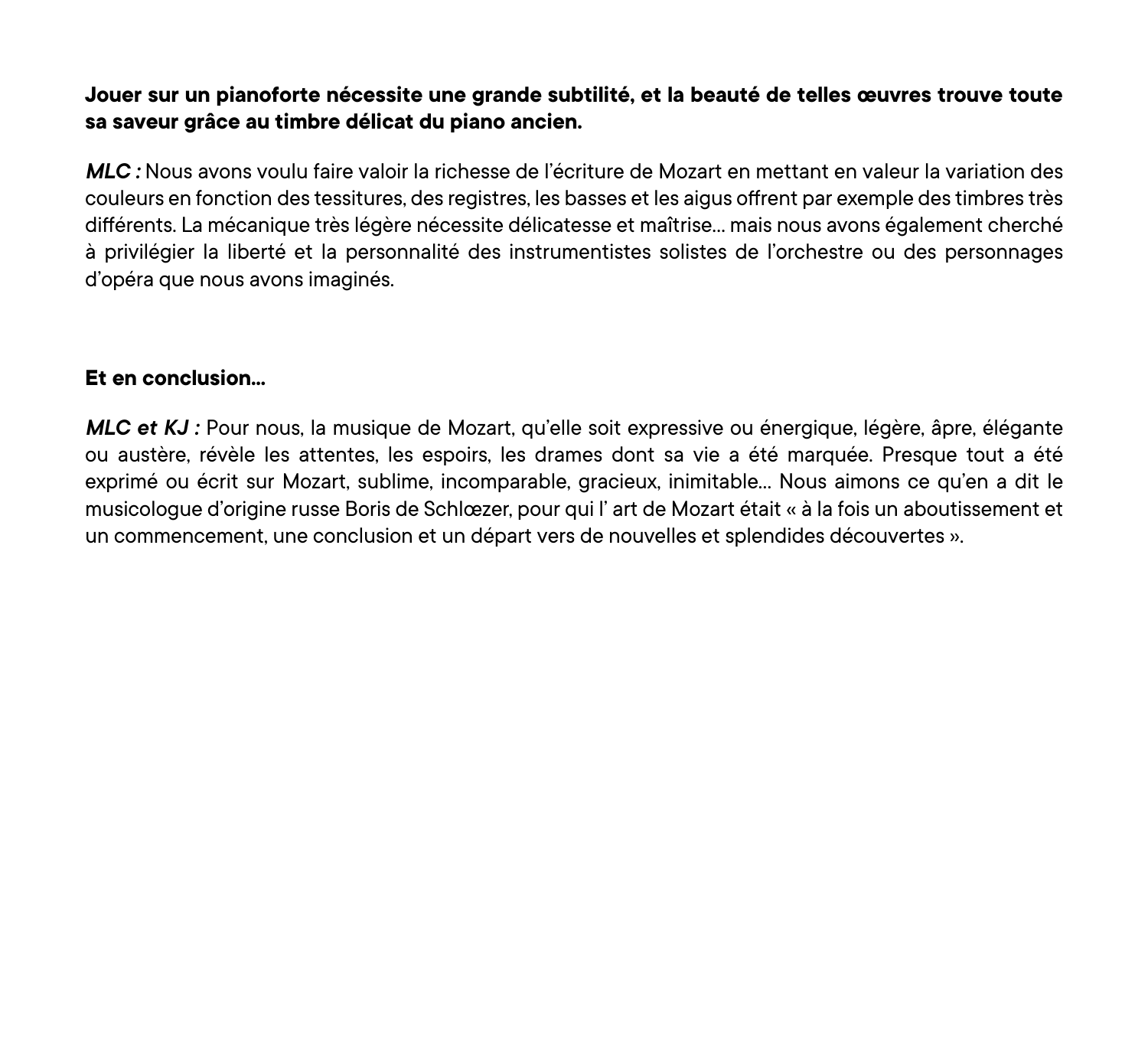#### **Jouer sur un pianoforte nécessite une grande subtilité, et la beauté de telles œuvres trouve toute sa saveur grâce au timbre délicat du piano ancien.**

*MLC :* Nous avons voulu faire valoir la richesse de l'écriture de Mozart en mettant en valeur la variation des couleurs en fonction des tessitures, des registres, les basses et les aigus offrent par exemple des timbres très différents. La mécanique très légère nécessite délicatesse et maîtrise… mais nous avons également cherché à privilégier la liberté et la personnalité des instrumentistes solistes de l'orchestre ou des personnages d'opéra que nous avons imaginés.

#### **Et en conclusion…**

*MLC et KJ :* Pour nous, la musique de Mozart, qu'elle soit expressive ou énergique, légère, âpre, élégante ou austère, révèle les attentes, les espoirs, les drames dont sa vie a été marquée. Presque tout a été exprimé ou écrit sur Mozart, sublime, incomparable, gracieux, inimitable… Nous aimons ce qu'en a dit le musicologue d'origine russe Boris de Schlœzer, pour qui l' art de Mozart était « à la fois un aboutissement et un commencement, une conclusion et un départ vers de nouvelles et splendides découvertes ».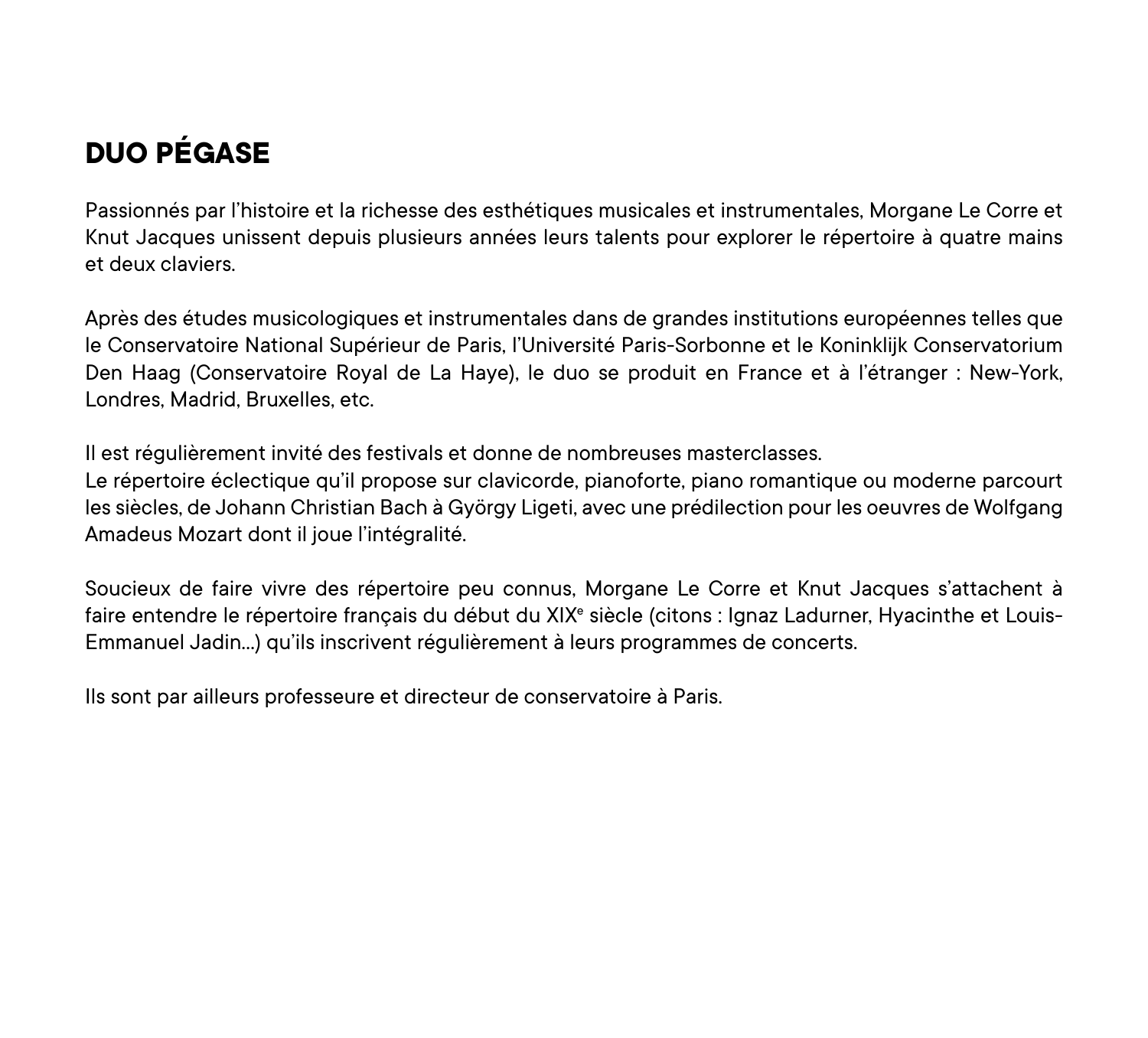## **DUO PÉGASE**

Passionnés par l'histoire et la richesse des esthétiques musicales et instrumentales, Morgane Le Corre et Knut Jacques unissent depuis plusieurs années leurs talents pour explorer le répertoire à quatre mains et deux claviers.

Après des études musicologiques et instrumentales dans de grandes institutions européennes telles que le Conservatoire National Supérieur de Paris, l'Université Paris-Sorbonne et le Koninklijk Conservatorium Den Haag (Conservatoire Royal de La Haye), le duo se produit en France et à l'étranger : New-York, Londres, Madrid, Bruxelles, etc.

Il est régulièrement invité des festivals et donne de nombreuses masterclasses.

Le répertoire éclectique qu'il propose sur clavicorde, pianoforte, piano romantique ou moderne parcourt les siècles, de Johann Christian Bach à György Ligeti, avec une prédilection pour les oeuvres de Wolfgang Amadeus Mozart dont il joue l'intégralité.

Soucieux de faire vivre des répertoire peu connus, Morgane Le Corre et Knut Jacques s'attachent à faire entendre le répertoire français du début du XIX<mark>° siècle (citons : Ignaz Ladurner, Hyacinthe et Loui</mark>s-Emmanuel Jadin…) qu'ils inscrivent régulièrement à leurs programmes de concerts.

Ils sont par ailleurs professeure et directeur de conservatoire à Paris.